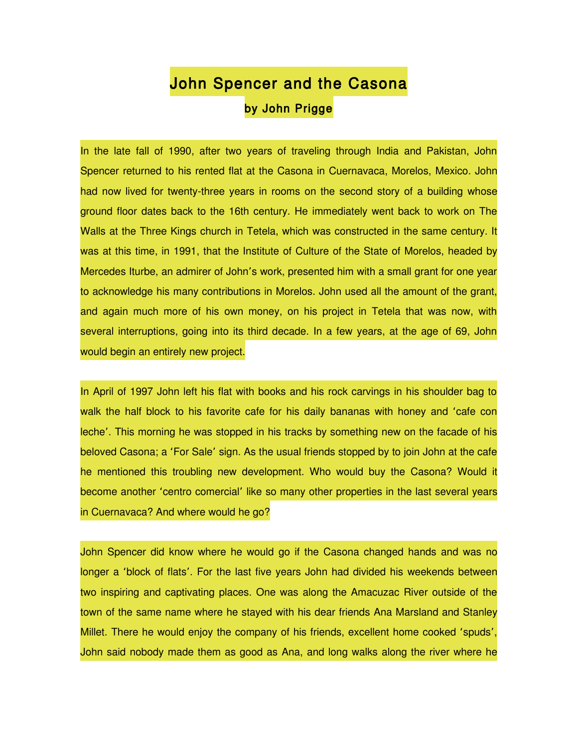## John Spencer and the Casona by John Prigge

In the late fall of 1990, after two years of traveling through India and Pakistan, John Spencer returned to his rented flat at the Casona in Cuernavaca, Morelos, Mexico. John had now lived for twenty-three years in rooms on the second story of a building whose ground floor dates back to the 16th century. He immediately went back to work on The Walls at the Three Kings church in Tetela, which was constructed in the same century. It was at this time, in 1991, that the Institute of Culture of the State of Morelos, headed by Mercedes Iturbe, an admirer of John's work, presented him with a small grant for one year to acknowledge his many contributions in Morelos. John used all the amount of the grant, and again much more of his own money, on his project in Tetela that was now, with several interruptions, going into its third decade. In a few years, at the age of 69, John would begin an entirely new project.

In April of 1997 John left his flat with books and his rock carvings in his shoulder bag to walk the half block to his favorite cafe for his daily bananas with honey and 'cafe con leche'. This morning he was stopped in his tracks by something new on the facade of his beloved Casona; a 'For Sale' sign. As the usual friends stopped by to join John at the cafe he mentioned this troubling new development. Who would buy the Casona? Would it become another 'centro comercial' like so many other properties in the last several years in Cuernavaca? And where would he go?

John Spencer did know where he would go if the Casona changed hands and was no longer a 'block of flats'. For the last five years John had divided his weekends between two inspiring and captivating places. One was along the Amacuzac River outside of the town of the same name where he stayed with his dear friends Ana Marsland and Stanley Millet. There he would enjoy the company of his friends, excellent home cooked 'spuds', John said nobody made them as good as Ana, and long walks along the river where he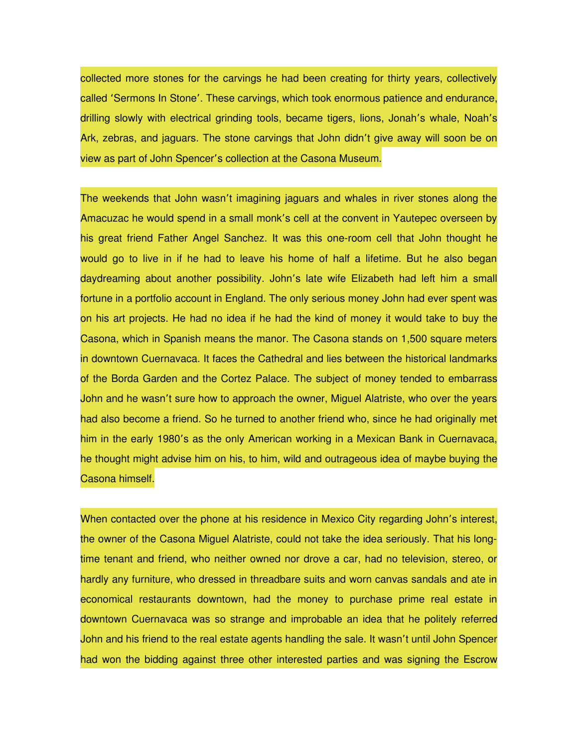collected more stones for the carvings he had been creating for thirty years, collectively called 'Sermons In Stone'. These carvings, which took enormous patience and endurance, drilling slowly with electrical grinding tools, became tigers, lions, Jonah's whale, Noah's Ark, zebras, and jaguars. The stone carvings that John didn't give away will soon be on view as part of John Spencer's collection at the Casona Museum.

The weekends that John wasn't imagining jaguars and whales in river stones along the Amacuzac he would spend in a small monk's cell at the convent in Yautepec overseen by his great friend Father Angel Sanchez. It was this one-room cell that John thought he would go to live in if he had to leave his home of half a lifetime. But he also began daydreaming about another possibility. John's late wife Elizabeth had left him a small fortune in a portfolio account in England. The only serious money John had ever spent was on his art projects. He had no idea if he had the kind of money it would take to buy the Casona, which in Spanish means the manor. The Casona stands on 1,500 square meters in downtown Cuernavaca. It faces the Cathedral and lies between the historical landmarks of the Borda Garden and the Cortez Palace. The subject of money tended to embarrass John and he wasn't sure how to approach the owner, Miguel Alatriste, who over the years had also become a friend. So he turned to another friend who, since he had originally met him in the early 1980's as the only American working in a Mexican Bank in Cuernavaca, he thought might advise him on his, to him, wild and outrageous idea of maybe buying the Casona himself.

When contacted over the phone at his residence in Mexico City regarding John's interest, the owner of the Casona Miguel Alatriste, could not take the idea seriously. That his longtime tenant and friend, who neither owned nor drove a car, had no television, stereo, or hardly any furniture, who dressed in threadbare suits and worn canvas sandals and ate in economical restaurants downtown, had the money to purchase prime real estate in downtown Cuernavaca was so strange and improbable an idea that he politely referred John and his friend to the real estate agents handling the sale. It wasn't until John Spencer had won the bidding against three other interested parties and was signing the Escrow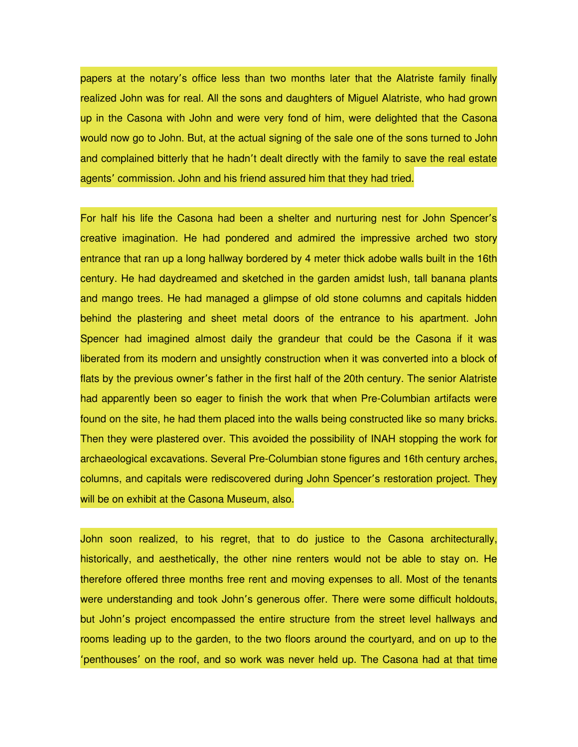papers at the notary's office less than two months later that the Alatriste family finally realized John was for real. All the sons and daughters of Miguel Alatriste, who had grown up in the Casona with John and were very fond of him, were delighted that the Casona would now go to John. But, at the actual signing of the sale one of the sons turned to John and complained bitterly that he hadn't dealt directly with the family to save the real estate agents' commission. John and his friend assured him that they had tried.

For half his life the Casona had been a shelter and nurturing nest for John Spencer's creative imagination. He had pondered and admired the impressive arched two story entrance that ran up a long hallway bordered by 4 meter thick adobe walls built in the 16th century. He had daydreamed and sketched in the garden amidst lush, tall banana plants and mango trees. He had managed a glimpse of old stone columns and capitals hidden behind the plastering and sheet metal doors of the entrance to his apartment. John Spencer had imagined almost daily the grandeur that could be the Casona if it was liberated from its modern and unsightly construction when it was converted into a block of flats by the previous owner's father in the first half of the 20th century. The senior Alatriste had apparently been so eager to finish the work that when Pre-Columbian artifacts were found on the site, he had them placed into the walls being constructed like so many bricks. Then they were plastered over. This avoided the possibility of INAH stopping the work for archaeological excavations. Several Pre-Columbian stone figures and 16th century arches, columns, and capitals were rediscovered during John Spencer's restoration project. They will be on exhibit at the Casona Museum, also.

John soon realized, to his regret, that to do justice to the Casona architecturally, historically, and aesthetically, the other nine renters would not be able to stay on. He therefore offered three months free rent and moving expenses to all. Most of the tenants were understanding and took John's generous offer. There were some difficult holdouts, but John's project encompassed the entire structure from the street level hallways and rooms leading up to the garden, to the two floors around the courtyard, and on up to the 'penthouses' on the roof, and so work was never held up. The Casona had at that time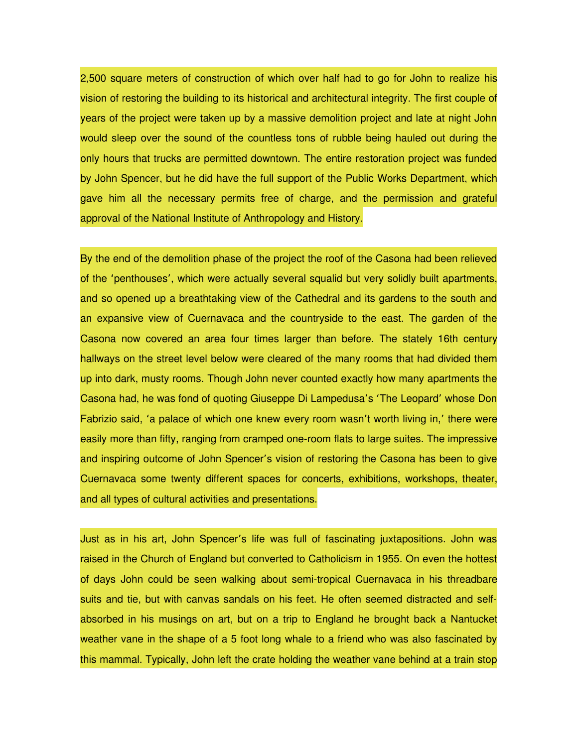2,500 square meters of construction of which over half had to go for John to realize his vision of restoring the building to its historical and architectural integrity. The first couple of years of the project were taken up by a massive demolition project and late at night John would sleep over the sound of the countless tons of rubble being hauled out during the only hours that trucks are permitted downtown. The entire restoration project was funded by John Spencer, but he did have the full support of the Public Works Department, which gave him all the necessary permits free of charge, and the permission and grateful approval of the National Institute of Anthropology and History.

By the end of the demolition phase of the project the roof of the Casona had been relieved of the 'penthouses', which were actually several squalid but very solidly built apartments, and so opened up a breathtaking view of the Cathedral and its gardens to the south and an expansive view of Cuernavaca and the countryside to the east. The garden of the Casona now covered an area four times larger than before. The stately 16th century hallways on the street level below were cleared of the many rooms that had divided them up into dark, musty rooms. Though John never counted exactly how many apartments the Casona had, he was fond of quoting Giuseppe Di Lampedusa's 'The Leopard' whose Don Fabrizio said, 'a palace of which one knew every room wasn't worth living in,' there were easily more than fifty, ranging from cramped one-room flats to large suites. The impressive and inspiring outcome of John Spencer's vision of restoring the Casona has been to give Cuernavaca some twenty different spaces for concerts, exhibitions, workshops, theater, and all types of cultural activities and presentations.

Just as in his art, John Spencer's life was full of fascinating juxtapositions. John was raised in the Church of England but converted to Catholicism in 1955. On even the hottest of days John could be seen walking about semi-tropical Cuernavaca in his threadbare suits and tie, but with canvas sandals on his feet. He often seemed distracted and selfabsorbed in his musings on art, but on a trip to England he brought back a Nantucket weather vane in the shape of a 5 foot long whale to a friend who was also fascinated by this mammal. Typically, John left the crate holding the weather vane behind at a train stop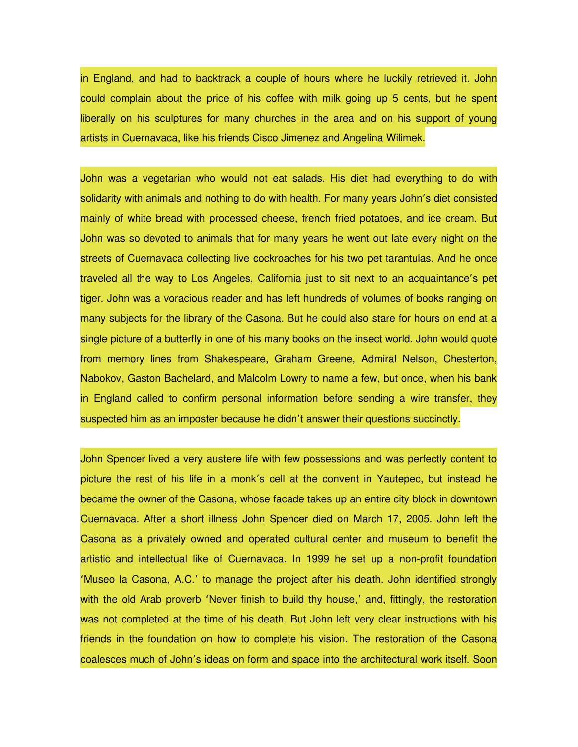in England, and had to backtrack a couple of hours where he luckily retrieved it. John could complain about the price of his coffee with milk going up 5 cents, but he spent liberally on his sculptures for many churches in the area and on his support of young artists in Cuernavaca, like his friends Cisco Jimenez and Angelina Wilimek.

John was a vegetarian who would not eat salads. His diet had everything to do with solidarity with animals and nothing to do with health. For many years John's diet consisted mainly of white bread with processed cheese, french fried potatoes, and ice cream. But John was so devoted to animals that for many years he went out late every night on the streets of Cuernavaca collecting live cockroaches for his two pet tarantulas. And he once traveled all the way to Los Angeles, California just to sit next to an acquaintance's pet tiger. John was a voracious reader and has left hundreds of volumes of books ranging on many subjects for the library of the Casona. But he could also stare for hours on end at a single picture of a butterfly in one of his many books on the insect world. John would quote from memory lines from Shakespeare, Graham Greene, Admiral Nelson, Chesterton, Nabokov, Gaston Bachelard, and Malcolm Lowry to name a few, but once, when his bank in England called to confirm personal information before sending a wire transfer, they suspected him as an imposter because he didn't answer their questions succinctly.

John Spencer lived a very austere life with few possessions and was perfectly content to picture the rest of his life in a monk's cell at the convent in Yautepec, but instead he became the owner of the Casona, whose facade takes up an entire city block in downtown Cuernavaca. After a short illness John Spencer died on March 17, 2005. John left the Casona as a privately owned and operated cultural center and museum to benefit the artistic and intellectual like of Cuernavaca. In 1999 he set up a non-profit foundation 'Museo la Casona, A.C.' to manage the project after his death. John identified strongly with the old Arab proverb 'Never finish to build thy house,' and, fittingly, the restoration was not completed at the time of his death. But John left very clear instructions with his friends in the foundation on how to complete his vision. The restoration of the Casona coalesces much of John's ideas on form and space into the architectural work itself. Soon